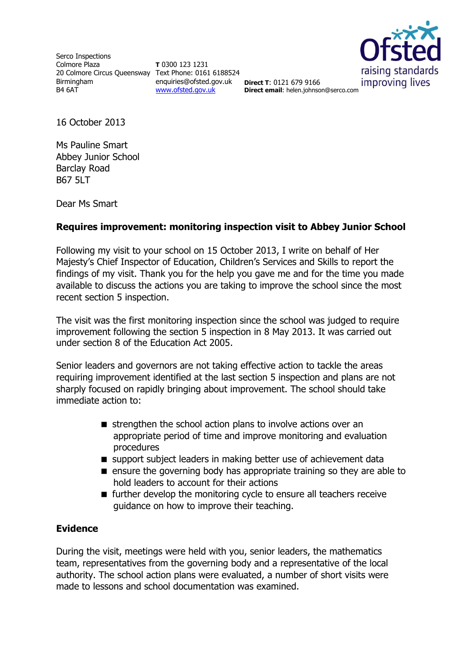Serco Inspections Colmore Plaza 20 Colmore Circus Queensway Text Phone: 0161 6188524 Birmingham B4 6AT

**T** 0300 123 1231 enquiries@ofsted.gov.uk **Direct T**: 0121 679 9166 [www.ofsted.gov.uk](http://www.ofsted.gov.uk/)



**Direct email**: helen.johnson@serco.com

16 October 2013

Ms Pauline Smart Abbey Junior School Barclay Road B67 5LT

Dear Ms Smart

# **Requires improvement: monitoring inspection visit to Abbey Junior School**

Following my visit to your school on 15 October 2013, I write on behalf of Her Majesty's Chief Inspector of Education, Children's Services and Skills to report the findings of my visit. Thank you for the help you gave me and for the time you made available to discuss the actions you are taking to improve the school since the most recent section 5 inspection.

The visit was the first monitoring inspection since the school was judged to require improvement following the section 5 inspection in 8 May 2013. It was carried out under section 8 of the Education Act 2005.

Senior leaders and governors are not taking effective action to tackle the areas requiring improvement identified at the last section 5 inspection and plans are not sharply focused on rapidly bringing about improvement. The school should take immediate action to:

- $\blacksquare$  strengthen the school action plans to involve actions over an appropriate period of time and improve monitoring and evaluation procedures
- support subject leaders in making better use of achievement data
- **E** ensure the governing body has appropriate training so they are able to hold leaders to account for their actions
- $\blacksquare$  further develop the monitoring cycle to ensure all teachers receive guidance on how to improve their teaching.

# **Evidence**

During the visit, meetings were held with you, senior leaders, the mathematics team, representatives from the governing body and a representative of the local authority. The school action plans were evaluated, a number of short visits were made to lessons and school documentation was examined.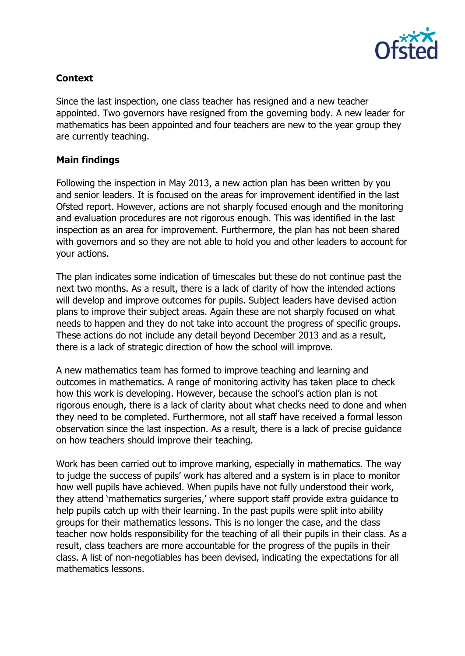

# **Context**

Since the last inspection, one class teacher has resigned and a new teacher appointed. Two governors have resigned from the governing body. A new leader for mathematics has been appointed and four teachers are new to the year group they are currently teaching.

#### **Main findings**

Following the inspection in May 2013, a new action plan has been written by you and senior leaders. It is focused on the areas for improvement identified in the last Ofsted report. However, actions are not sharply focused enough and the monitoring and evaluation procedures are not rigorous enough. This was identified in the last inspection as an area for improvement. Furthermore, the plan has not been shared with governors and so they are not able to hold you and other leaders to account for your actions.

The plan indicates some indication of timescales but these do not continue past the next two months. As a result, there is a lack of clarity of how the intended actions will develop and improve outcomes for pupils. Subject leaders have devised action plans to improve their subject areas. Again these are not sharply focused on what needs to happen and they do not take into account the progress of specific groups. These actions do not include any detail beyond December 2013 and as a result, there is a lack of strategic direction of how the school will improve.

A new mathematics team has formed to improve teaching and learning and outcomes in mathematics. A range of monitoring activity has taken place to check how this work is developing. However, because the school's action plan is not rigorous enough, there is a lack of clarity about what checks need to done and when they need to be completed. Furthermore, not all staff have received a formal lesson observation since the last inspection. As a result, there is a lack of precise guidance on how teachers should improve their teaching.

Work has been carried out to improve marking, especially in mathematics. The way to judge the success of pupils' work has altered and a system is in place to monitor how well pupils have achieved. When pupils have not fully understood their work, they attend 'mathematics surgeries,' where support staff provide extra guidance to help pupils catch up with their learning. In the past pupils were split into ability groups for their mathematics lessons. This is no longer the case, and the class teacher now holds responsibility for the teaching of all their pupils in their class. As a result, class teachers are more accountable for the progress of the pupils in their class. A list of non-negotiables has been devised, indicating the expectations for all mathematics lessons.